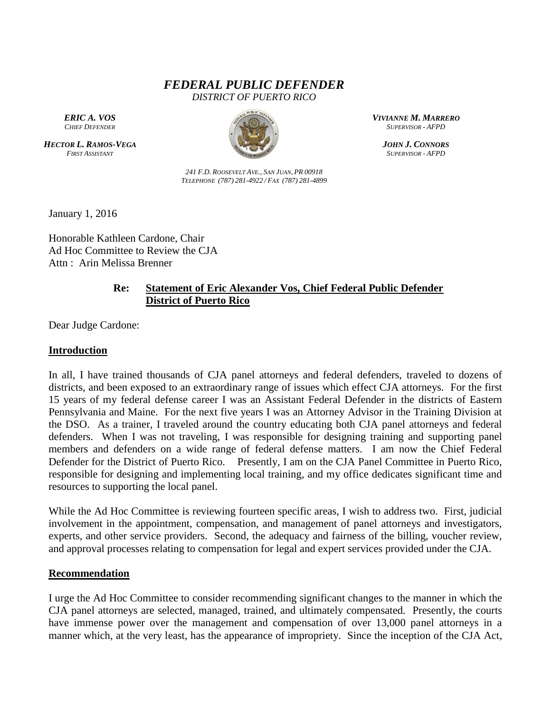# *FEDERAL PUBLIC DEFENDER DISTRICT OF PUERTO RICO*

*ERIC A. VOS CHIEF DEFENDER*

*HECTOR L. RAMOS-VEGA FIRST ASSISTANT*



*241 F.D. ROOSEVELT AVE., SAN JUAN, PR 00918 TELEPHONE (787) 281-4922 / FAX (787) 281-4899* *VIVIANNE M. MARRERO SUPERVISOR - AFPD*

*JOHN J. CONNORS SUPERVISOR - AFPD*

January 1, 2016

Honorable Kathleen Cardone, Chair Ad Hoc Committee to Review the CJA Attn : Arin Melissa Brenner

## **Re: Statement of Eric Alexander Vos, Chief Federal Public Defender District of Puerto Rico**

Dear Judge Cardone:

#### **Introduction**

In all, I have trained thousands of CJA panel attorneys and federal defenders, traveled to dozens of districts, and been exposed to an extraordinary range of issues which effect CJA attorneys. For the first 15 years of my federal defense career I was an Assistant Federal Defender in the districts of Eastern Pennsylvania and Maine. For the next five years I was an Attorney Advisor in the Training Division at the DSO. As a trainer, I traveled around the country educating both CJA panel attorneys and federal defenders. When I was not traveling, I was responsible for designing training and supporting panel members and defenders on a wide range of federal defense matters. I am now the Chief Federal Defender for the District of Puerto Rico. Presently, I am on the CJA Panel Committee in Puerto Rico, responsible for designing and implementing local training, and my office dedicates significant time and resources to supporting the local panel.

While the Ad Hoc Committee is reviewing fourteen specific areas, I wish to address two. First, judicial involvement in the appointment, compensation, and management of panel attorneys and investigators, experts, and other service providers. Second, the adequacy and fairness of the billing, voucher review, and approval processes relating to compensation for legal and expert services provided under the CJA.

#### **Recommendation**

I urge the Ad Hoc Committee to consider recommending significant changes to the manner in which the CJA panel attorneys are selected, managed, trained, and ultimately compensated. Presently, the courts have immense power over the management and compensation of over 13,000 panel attorneys in a manner which, at the very least, has the appearance of impropriety. Since the inception of the CJA Act,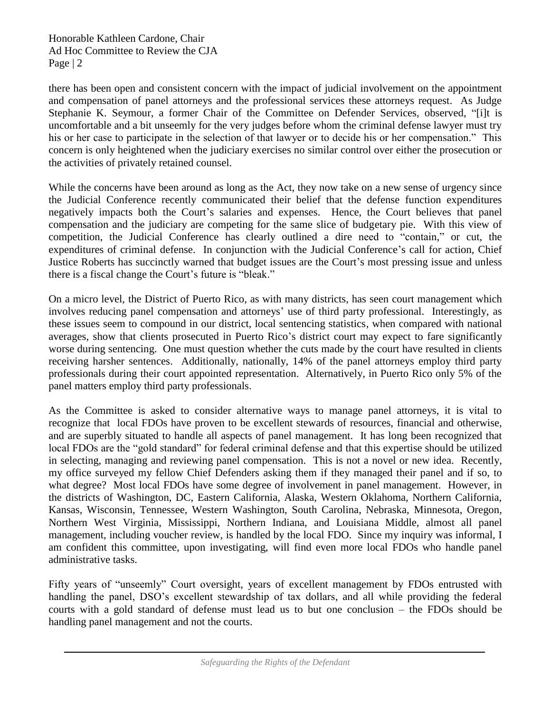there has been open and consistent concern with the impact of judicial involvement on the appointment and compensation of panel attorneys and the professional services these attorneys request. As Judge Stephanie K. Seymour, a former Chair of the Committee on Defender Services, observed, "[i]t is uncomfortable and a bit unseemly for the very judges before whom the criminal defense lawyer must try his or her case to participate in the selection of that lawyer or to decide his or her compensation." This concern is only heightened when the judiciary exercises no similar control over either the prosecution or the activities of privately retained counsel.

While the concerns have been around as long as the Act, they now take on a new sense of urgency since the Judicial Conference recently communicated their belief that the defense function expenditures negatively impacts both the Court's salaries and expenses. Hence, the Court believes that panel compensation and the judiciary are competing for the same slice of budgetary pie. With this view of competition, the Judicial Conference has clearly outlined a dire need to "contain," or cut, the expenditures of criminal defense. In conjunction with the Judicial Conference's call for action, Chief Justice Roberts has succinctly warned that budget issues are the Court's most pressing issue and unless there is a fiscal change the Court's future is "bleak."

On a micro level, the District of Puerto Rico, as with many districts, has seen court management which involves reducing panel compensation and attorneys' use of third party professional. Interestingly, as these issues seem to compound in our district, local sentencing statistics, when compared with national averages, show that clients prosecuted in Puerto Rico's district court may expect to fare significantly worse during sentencing. One must question whether the cuts made by the court have resulted in clients receiving harsher sentences. Additionally, nationally, 14% of the panel attorneys employ third party professionals during their court appointed representation. Alternatively, in Puerto Rico only 5% of the panel matters employ third party professionals.

As the Committee is asked to consider alternative ways to manage panel attorneys, it is vital to recognize that local FDOs have proven to be excellent stewards of resources, financial and otherwise, and are superbly situated to handle all aspects of panel management. It has long been recognized that local FDOs are the "gold standard" for federal criminal defense and that this expertise should be utilized in selecting, managing and reviewing panel compensation. This is not a novel or new idea. Recently, my office surveyed my fellow Chief Defenders asking them if they managed their panel and if so, to what degree? Most local FDOs have some degree of involvement in panel management. However, in the districts of Washington, DC, Eastern California, Alaska, Western Oklahoma, Northern California, Kansas, Wisconsin, Tennessee, Western Washington, South Carolina, Nebraska, Minnesota, Oregon, Northern West Virginia, Mississippi, Northern Indiana, and Louisiana Middle, almost all panel management, including voucher review, is handled by the local FDO. Since my inquiry was informal, I am confident this committee, upon investigating, will find even more local FDOs who handle panel administrative tasks.

Fifty years of "unseemly" Court oversight, years of excellent management by FDOs entrusted with handling the panel, DSO's excellent stewardship of tax dollars, and all while providing the federal courts with a gold standard of defense must lead us to but one conclusion – the FDOs should be handling panel management and not the courts.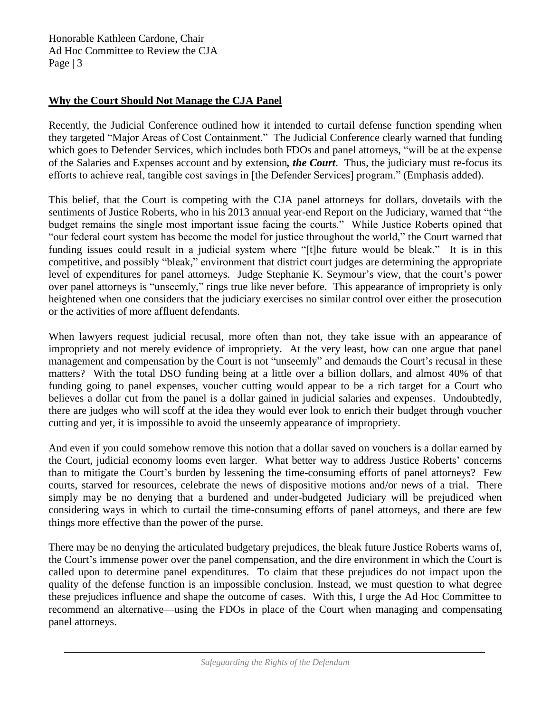### **Why the Court Should Not Manage the CJA Panel**

Recently, the Judicial Conference outlined how it intended to curtail defense function spending when they targeted "Major Areas of Cost Containment." The Judicial Conference clearly warned that funding which goes to Defender Services, which includes both FDOs and panel attorneys, "will be at the expense" of the Salaries and Expenses account and by extension*, the Court*. Thus, the judiciary must re-focus its efforts to achieve real, tangible cost savings in [the Defender Services] program." (Emphasis added).

This belief, that the Court is competing with the CJA panel attorneys for dollars, dovetails with the sentiments of Justice Roberts, who in his 2013 annual year-end Report on the Judiciary, warned that "the budget remains the single most important issue facing the courts." While Justice Roberts opined that "our federal court system has become the model for justice throughout the world," the Court warned that funding issues could result in a judicial system where "[t]he future would be bleak." It is in this competitive, and possibly "bleak," environment that district court judges are determining the appropriate level of expenditures for panel attorneys. Judge Stephanie K. Seymour's view, that the court's power over panel attorneys is "unseemly," rings true like never before. This appearance of impropriety is only heightened when one considers that the judiciary exercises no similar control over either the prosecution or the activities of more affluent defendants.

When lawyers request judicial recusal, more often than not, they take issue with an appearance of impropriety and not merely evidence of impropriety. At the very least, how can one argue that panel management and compensation by the Court is not "unseemly" and demands the Court's recusal in these matters? With the total DSO funding being at a little over a billion dollars, and almost 40% of that funding going to panel expenses, voucher cutting would appear to be a rich target for a Court who believes a dollar cut from the panel is a dollar gained in judicial salaries and expenses. Undoubtedly, there are judges who will scoff at the idea they would ever look to enrich their budget through voucher cutting and yet, it is impossible to avoid the unseemly appearance of impropriety.

And even if you could somehow remove this notion that a dollar saved on vouchers is a dollar earned by the Court, judicial economy looms even larger. What better way to address Justice Roberts' concerns than to mitigate the Court's burden by lessening the time-consuming efforts of panel attorneys? Few courts, starved for resources, celebrate the news of dispositive motions and/or news of a trial. There simply may be no denying that a burdened and under-budgeted Judiciary will be prejudiced when considering ways in which to curtail the time-consuming efforts of panel attorneys, and there are few things more effective than the power of the purse.

There may be no denying the articulated budgetary prejudices, the bleak future Justice Roberts warns of, the Court's immense power over the panel compensation, and the dire environment in which the Court is called upon to determine panel expenditures. To claim that these prejudices do not impact upon the quality of the defense function is an impossible conclusion. Instead, we must question to what degree these prejudices influence and shape the outcome of cases. With this, I urge the Ad Hoc Committee to recommend an alternative—using the FDOs in place of the Court when managing and compensating panel attorneys.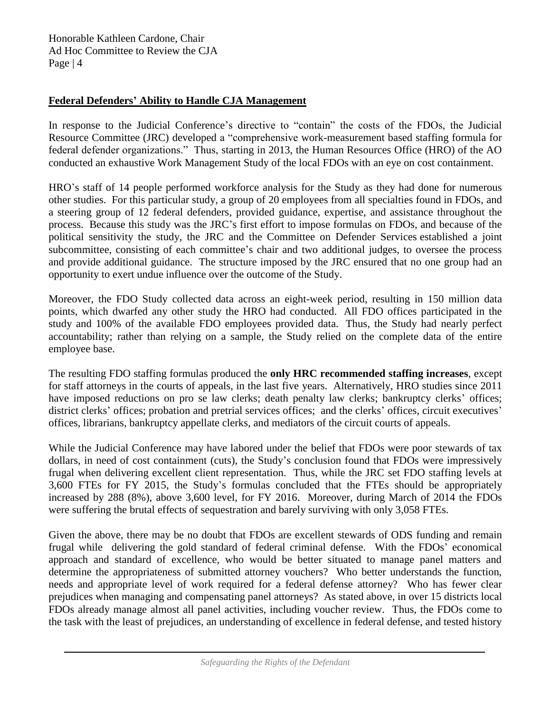#### **Federal Defenders' Ability to Handle CJA Management**

In response to the Judicial Conference's directive to "contain" the costs of the FDOs, the Judicial Resource Committee (JRC) developed a "comprehensive work-measurement based staffing formula for federal defender organizations." Thus, starting in 2013, the Human Resources Office (HRO) of the AO conducted an exhaustive Work Management Study of the local FDOs with an eye on cost containment.

HRO's staff of 14 people performed workforce analysis for the Study as they had done for numerous other studies. For this particular study, a group of 20 employees from all specialties found in FDOs, and a steering group of 12 federal defenders, provided guidance, expertise, and assistance throughout the process. Because this study was the JRC's first effort to impose formulas on FDOs, and because of the political sensitivity the study, the JRC and the Committee on Defender Services established a joint subcommittee, consisting of each committee's chair and two additional judges, to oversee the process and provide additional guidance. The structure imposed by the JRC ensured that no one group had an opportunity to exert undue influence over the outcome of the Study.

Moreover, the FDO Study collected data across an eight-week period, resulting in 150 million data points, which dwarfed any other study the HRO had conducted. All FDO offices participated in the study and 100% of the available FDO employees provided data. Thus, the Study had nearly perfect accountability; rather than relying on a sample, the Study relied on the complete data of the entire employee base.

The resulting FDO staffing formulas produced the **only HRC recommended staffing increases**, except for staff attorneys in the courts of appeals, in the last five years. Alternatively, HRO studies since 2011 have imposed reductions on pro se law clerks; death penalty law clerks; bankruptcy clerks' offices; district clerks' offices; probation and pretrial services offices; and the clerks' offices, circuit executives' offices, librarians, bankruptcy appellate clerks, and mediators of the circuit courts of appeals.

While the Judicial Conference may have labored under the belief that FDOs were poor stewards of tax dollars, in need of cost containment (cuts), the Study's conclusion found that FDOs were impressively frugal when delivering excellent client representation. Thus, while the JRC set FDO staffing levels at 3,600 FTEs for FY 2015, the Study's formulas concluded that the FTEs should be appropriately increased by 288 (8%), above 3,600 level, for FY 2016. Moreover, during March of 2014 the FDOs were suffering the brutal effects of sequestration and barely surviving with only 3,058 FTEs.

Given the above, there may be no doubt that FDOs are excellent stewards of ODS funding and remain frugal while delivering the gold standard of federal criminal defense. With the FDOs' economical approach and standard of excellence, who would be better situated to manage panel matters and determine the appropriateness of submitted attorney vouchers? Who better understands the function, needs and appropriate level of work required for a federal defense attorney? Who has fewer clear prejudices when managing and compensating panel attorneys? As stated above, in over 15 districts local FDOs already manage almost all panel activities, including voucher review. Thus, the FDOs come to the task with the least of prejudices, an understanding of excellence in federal defense, and tested history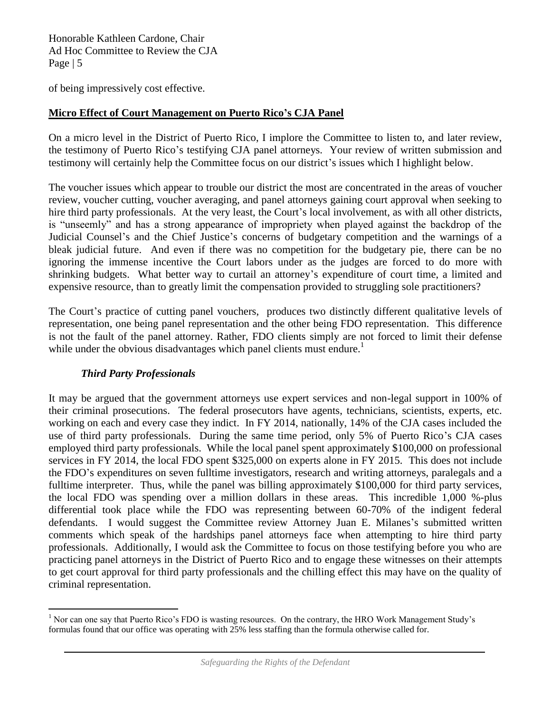of being impressively cost effective.

### **Micro Effect of Court Management on Puerto Rico's CJA Panel**

On a micro level in the District of Puerto Rico, I implore the Committee to listen to, and later review, the testimony of Puerto Rico's testifying CJA panel attorneys. Your review of written submission and testimony will certainly help the Committee focus on our district's issues which I highlight below.

The voucher issues which appear to trouble our district the most are concentrated in the areas of voucher review, voucher cutting, voucher averaging, and panel attorneys gaining court approval when seeking to hire third party professionals. At the very least, the Court's local involvement, as with all other districts, is "unseemly" and has a strong appearance of impropriety when played against the backdrop of the Judicial Counsel's and the Chief Justice's concerns of budgetary competition and the warnings of a bleak judicial future. And even if there was no competition for the budgetary pie, there can be no ignoring the immense incentive the Court labors under as the judges are forced to do more with shrinking budgets. What better way to curtail an attorney's expenditure of court time, a limited and expensive resource, than to greatly limit the compensation provided to struggling sole practitioners?

The Court's practice of cutting panel vouchers, produces two distinctly different qualitative levels of representation, one being panel representation and the other being FDO representation. This difference is not the fault of the panel attorney. Rather, FDO clients simply are not forced to limit their defense while under the obvious disadvantages which panel clients must endure.<sup>1</sup>

#### *Third Party Professionals*

It may be argued that the government attorneys use expert services and non-legal support in 100% of their criminal prosecutions. The federal prosecutors have agents, technicians, scientists, experts, etc. working on each and every case they indict. In FY 2014, nationally, 14% of the CJA cases included the use of third party professionals. During the same time period, only 5% of Puerto Rico's CJA cases employed third party professionals. While the local panel spent approximately \$100,000 on professional services in FY 2014, the local FDO spent \$325,000 on experts alone in FY 2015. This does not include the FDO's expenditures on seven fulltime investigators, research and writing attorneys, paralegals and a fulltime interpreter. Thus, while the panel was billing approximately \$100,000 for third party services, the local FDO was spending over a million dollars in these areas. This incredible 1,000 %-plus differential took place while the FDO was representing between 60-70% of the indigent federal defendants. I would suggest the Committee review Attorney Juan E. Milanes's submitted written comments which speak of the hardships panel attorneys face when attempting to hire third party professionals. Additionally, I would ask the Committee to focus on those testifying before you who are practicing panel attorneys in the District of Puerto Rico and to engage these witnesses on their attempts to get court approval for third party professionals and the chilling effect this may have on the quality of criminal representation.

 $\overline{a}$ <sup>1</sup> Nor can one say that Puerto Rico's FDO is wasting resources. On the contrary, the HRO Work Management Study's formulas found that our office was operating with 25% less staffing than the formula otherwise called for.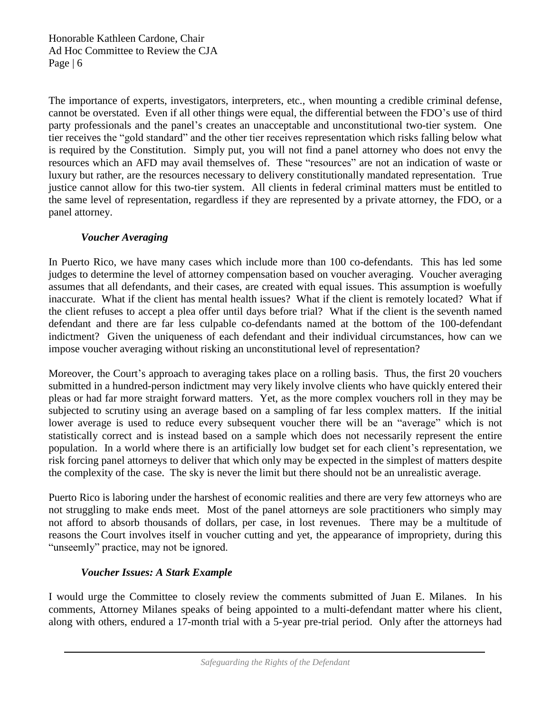The importance of experts, investigators, interpreters, etc., when mounting a credible criminal defense, cannot be overstated. Even if all other things were equal, the differential between the FDO's use of third party professionals and the panel's creates an unacceptable and unconstitutional two-tier system. One tier receives the "gold standard" and the other tier receives representation which risks falling below what is required by the Constitution. Simply put, you will not find a panel attorney who does not envy the resources which an AFD may avail themselves of. These "resources" are not an indication of waste or luxury but rather, are the resources necessary to delivery constitutionally mandated representation. True justice cannot allow for this two-tier system. All clients in federal criminal matters must be entitled to the same level of representation, regardless if they are represented by a private attorney, the FDO, or a panel attorney.

## *Voucher Averaging*

In Puerto Rico, we have many cases which include more than 100 co-defendants. This has led some judges to determine the level of attorney compensation based on voucher averaging. Voucher averaging assumes that all defendants, and their cases, are created with equal issues. This assumption is woefully inaccurate. What if the client has mental health issues? What if the client is remotely located? What if the client refuses to accept a plea offer until days before trial? What if the client is the seventh named defendant and there are far less culpable co-defendants named at the bottom of the 100-defendant indictment? Given the uniqueness of each defendant and their individual circumstances, how can we impose voucher averaging without risking an unconstitutional level of representation?

Moreover, the Court's approach to averaging takes place on a rolling basis. Thus, the first 20 vouchers submitted in a hundred-person indictment may very likely involve clients who have quickly entered their pleas or had far more straight forward matters. Yet, as the more complex vouchers roll in they may be subjected to scrutiny using an average based on a sampling of far less complex matters. If the initial lower average is used to reduce every subsequent voucher there will be an "average" which is not statistically correct and is instead based on a sample which does not necessarily represent the entire population. In a world where there is an artificially low budget set for each client's representation, we risk forcing panel attorneys to deliver that which only may be expected in the simplest of matters despite the complexity of the case. The sky is never the limit but there should not be an unrealistic average.

Puerto Rico is laboring under the harshest of economic realities and there are very few attorneys who are not struggling to make ends meet. Most of the panel attorneys are sole practitioners who simply may not afford to absorb thousands of dollars, per case, in lost revenues. There may be a multitude of reasons the Court involves itself in voucher cutting and yet, the appearance of impropriety, during this "unseemly" practice, may not be ignored.

#### *Voucher Issues: A Stark Example*

I would urge the Committee to closely review the comments submitted of Juan E. Milanes. In his comments, Attorney Milanes speaks of being appointed to a multi-defendant matter where his client, along with others, endured a 17-month trial with a 5-year pre-trial period. Only after the attorneys had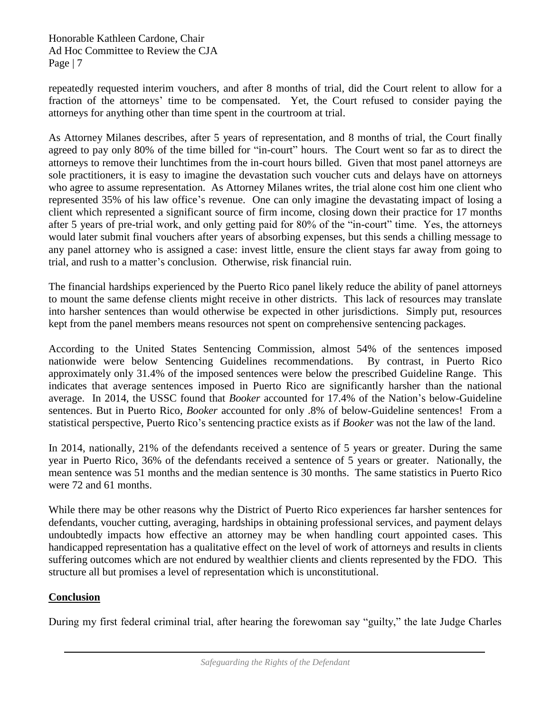repeatedly requested interim vouchers, and after 8 months of trial, did the Court relent to allow for a fraction of the attorneys' time to be compensated. Yet, the Court refused to consider paying the attorneys for anything other than time spent in the courtroom at trial.

As Attorney Milanes describes, after 5 years of representation, and 8 months of trial, the Court finally agreed to pay only 80% of the time billed for "in-court" hours. The Court went so far as to direct the attorneys to remove their lunchtimes from the in-court hours billed. Given that most panel attorneys are sole practitioners, it is easy to imagine the devastation such voucher cuts and delays have on attorneys who agree to assume representation. As Attorney Milanes writes, the trial alone cost him one client who represented 35% of his law office's revenue. One can only imagine the devastating impact of losing a client which represented a significant source of firm income, closing down their practice for 17 months after 5 years of pre-trial work, and only getting paid for 80% of the "in-court" time. Yes, the attorneys would later submit final vouchers after years of absorbing expenses, but this sends a chilling message to any panel attorney who is assigned a case: invest little, ensure the client stays far away from going to trial, and rush to a matter's conclusion. Otherwise, risk financial ruin.

The financial hardships experienced by the Puerto Rico panel likely reduce the ability of panel attorneys to mount the same defense clients might receive in other districts. This lack of resources may translate into harsher sentences than would otherwise be expected in other jurisdictions. Simply put, resources kept from the panel members means resources not spent on comprehensive sentencing packages.

According to the United States Sentencing Commission, almost 54% of the sentences imposed nationwide were below Sentencing Guidelines recommendations. By contrast, in Puerto Rico approximately only 31.4% of the imposed sentences were below the prescribed Guideline Range. This indicates that average sentences imposed in Puerto Rico are significantly harsher than the national average. In 2014, the USSC found that *Booker* accounted for 17.4% of the Nation's below-Guideline sentences. But in Puerto Rico, *Booker* accounted for only .8% of below-Guideline sentences! From a statistical perspective, Puerto Rico's sentencing practice exists as if *Booker* was not the law of the land.

In 2014, nationally, 21% of the defendants received a sentence of 5 years or greater. During the same year in Puerto Rico, 36% of the defendants received a sentence of 5 years or greater. Nationally, the mean sentence was 51 months and the median sentence is 30 months. The same statistics in Puerto Rico were 72 and 61 months.

While there may be other reasons why the District of Puerto Rico experiences far harsher sentences for defendants, voucher cutting, averaging, hardships in obtaining professional services, and payment delays undoubtedly impacts how effective an attorney may be when handling court appointed cases. This handicapped representation has a qualitative effect on the level of work of attorneys and results in clients suffering outcomes which are not endured by wealthier clients and clients represented by the FDO. This structure all but promises a level of representation which is unconstitutional.

# **Conclusion**

During my first federal criminal trial, after hearing the forewoman say "guilty," the late Judge Charles